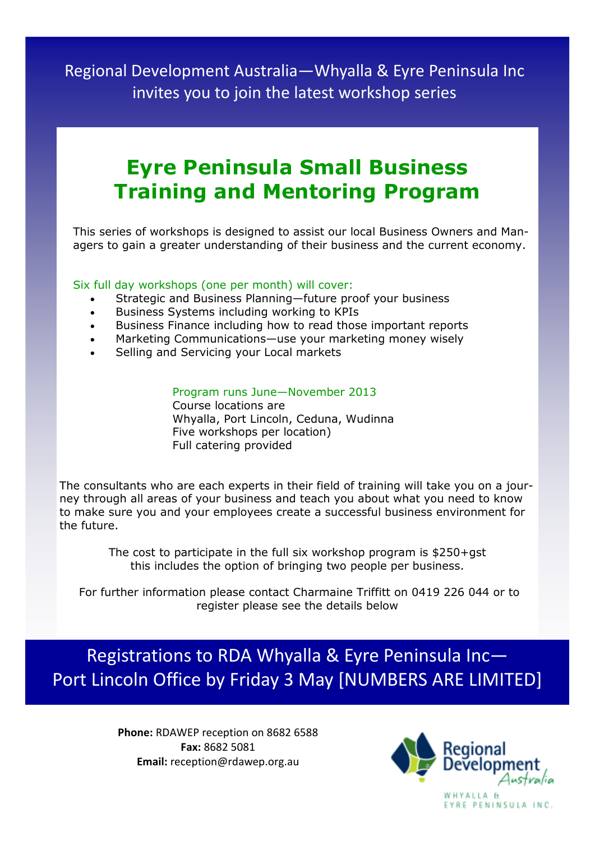Regional Development Australia—Whyalla & Eyre Peninsula Inc invites you to join the latest workshop series

## **Eyre Peninsula Small Business Training and Mentoring Program**

This series of workshops is designed to assist our local Business Owners and Managers to gain a greater understanding of their business and the current economy.

#### Six full day workshops (one per month) will cover:

- Strategic and Business Planning—future proof your business
- Business Systems including working to KPIs
- Business Finance including how to read those important reports
- Marketing Communications—use your marketing money wisely
- Selling and Servicing your Local markets

#### Program runs June—November 2013

 Course locations are Whyalla, Port Lincoln, Ceduna, Wudinna Five workshops per location) Full catering provided

The consultants who are each experts in their field of training will take you on a journey through all areas of your business and teach you about what you need to know to make sure you and your employees create a successful business environment for the future.

> The cost to participate in the full six workshop program is \$250+gst this includes the option of bringing two people per business.

 For further information please contact Charmaine Triffitt on 0419 226 044 or to register please see the details below

Registrations to RDA Whyalla & Eyre Peninsula Inc— Port Lincoln Office by Friday 3 May [NUMBERS ARE LIMITED]

> **Phone:** RDAWEP reception on 8682 6588 **Fax:** 8682 5081 **Email:** reception@rdawep.org.au



EYRE PENINSULA INC.